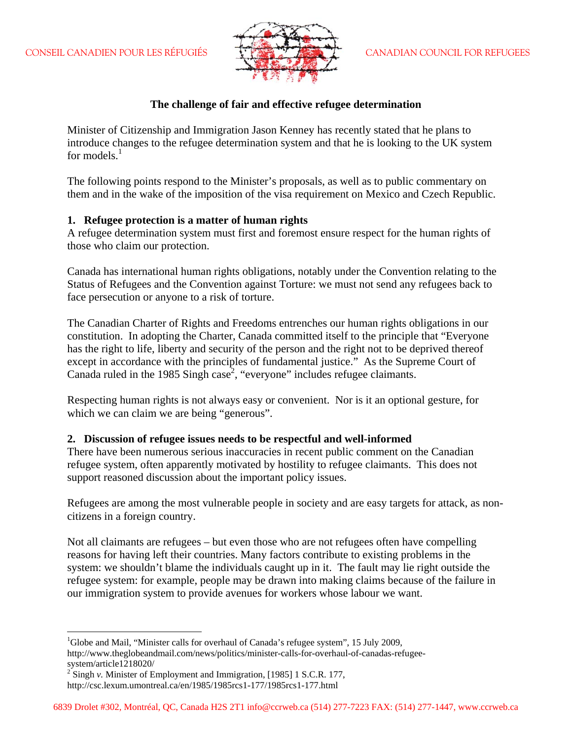

### **The challenge of fair and effective refugee determination**

Minister of Citizenship and Immigration Jason Kenney has recently stated that he plans to introduce changes to the refugee determination system and that he is looking to the UK system for models. $<sup>1</sup>$ </sup>

The following points respond to the Minister's proposals, as well as to public commentary on them and in the wake of the imposition of the visa requirement on Mexico and Czech Republic.

### **1. Refugee protection is a matter of human rights**

A refugee determination system must first and foremost ensure respect for the human rights of those who claim our protection.

Canada has international human rights obligations, notably under the Convention relating to the Status of Refugees and the Convention against Torture: we must not send any refugees back to face persecution or anyone to a risk of torture.

The Canadian Charter of Rights and Freedoms entrenches our human rights obligations in our constitution. In adopting the Charter, Canada committed itself to the principle that "Everyone has the right to life, liberty and security of the person and the right not to be deprived thereof except in accordance with the principles of fundamental justice." As the Supreme Court of Canada ruled in the 1985 Singh case<sup>2</sup>, "everyone" includes refugee claimants.

Respecting human rights is not always easy or convenient. Nor is it an optional gesture, for which we can claim we are being "generous".

### **2. Discussion of refugee issues needs to be respectful and well-informed**

There have been numerous serious inaccuracies in recent public comment on the Canadian refugee system, often apparently motivated by hostility to refugee claimants. This does not support reasoned discussion about the important policy issues.

Refugees are among the most vulnerable people in society and are easy targets for attack, as noncitizens in a foreign country.

Not all claimants are refugees – but even those who are not refugees often have compelling reasons for having left their countries. Many factors contribute to existing problems in the system: we shouldn't blame the individuals caught up in it. The fault may lie right outside the refugee system: for example, people may be drawn into making claims because of the failure in our immigration system to provide avenues for workers whose labour we want.

 $\overline{a}$ 

<sup>&</sup>lt;sup>1</sup>Globe and Mail, "Minister calls for overhaul of Canada's refugee system", 15 July 2009, http://www.theglobeandmail.com/news/politics/minister-calls-for-overhaul-of-canadas-refugeesystem/article1218020/

 $2^2$  Singh *v*. Minister of Employment and Immigration, [1985] 1 S.C.R. 177, http://csc.lexum.umontreal.ca/en/1985/1985rcs1-177/1985rcs1-177.html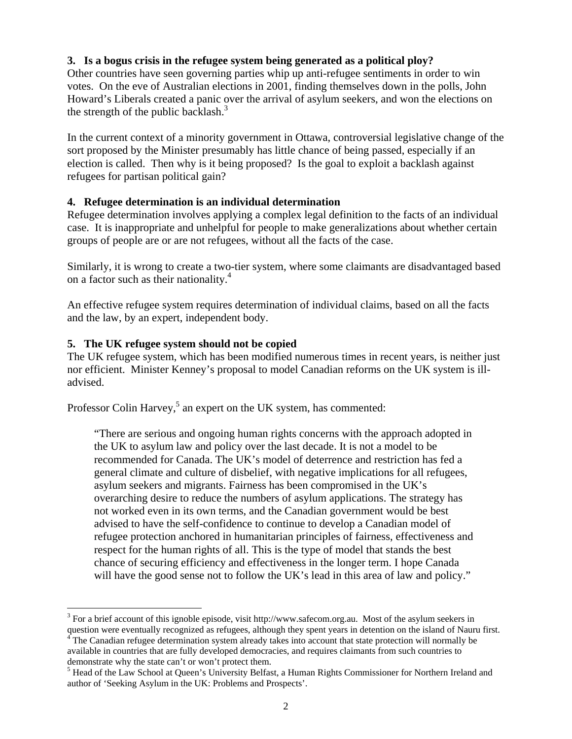# **3. Is a bogus crisis in the refugee system being generated as a political ploy?**

Other countries have seen governing parties whip up anti-refugee sentiments in order to win votes. On the eve of Australian elections in 2001, finding themselves down in the polls, John Howard's Liberals created a panic over the arrival of asylum seekers, and won the elections on the strength of the public backlash. $3$ 

In the current context of a minority government in Ottawa, controversial legislative change of the sort proposed by the Minister presumably has little chance of being passed, especially if an election is called. Then why is it being proposed? Is the goal to exploit a backlash against refugees for partisan political gain?

## **4. Refugee determination is an individual determination**

Refugee determination involves applying a complex legal definition to the facts of an individual case. It is inappropriate and unhelpful for people to make generalizations about whether certain groups of people are or are not refugees, without all the facts of the case.

Similarly, it is wrong to create a two-tier system, where some claimants are disadvantaged based on a factor such as their nationality.<sup>4</sup>

An effective refugee system requires determination of individual claims, based on all the facts and the law, by an expert, independent body.

## **5. The UK refugee system should not be copied**

 $\overline{a}$ 

The UK refugee system, which has been modified numerous times in recent years, is neither just nor efficient. Minister Kenney's proposal to model Canadian reforms on the UK system is illadvised.

Professor Colin Harvey,<sup>5</sup> an expert on the UK system, has commented:

"There are serious and ongoing human rights concerns with the approach adopted in the UK to asylum law and policy over the last decade. It is not a model to be recommended for Canada. The UK's model of deterrence and restriction has fed a general climate and culture of disbelief, with negative implications for all refugees, asylum seekers and migrants. Fairness has been compromised in the UK's overarching desire to reduce the numbers of asylum applications. The strategy has not worked even in its own terms, and the Canadian government would be best advised to have the self-confidence to continue to develop a Canadian model of refugee protection anchored in humanitarian principles of fairness, effectiveness and respect for the human rights of all. This is the type of model that stands the best chance of securing efficiency and effectiveness in the longer term. I hope Canada will have the good sense not to follow the UK's lead in this area of law and policy."

 $3$  For a brief account of this ignoble episode, visit http://www.safecom.org.au. Most of the asylum seekers in question were eventually recognized as refugees, although they spent years in detention on the island of Nauru first.

The Canadian refugee determination system already takes into account that state protection will normally be available in countries that are fully developed democracies, and requires claimants from such countries to demonstrate why the state can't or won't protect them.

<sup>&</sup>lt;sup>5</sup> Head of the Law School at Queen's University Belfast, a Human Rights Commissioner for Northern Ireland and author of 'Seeking Asylum in the UK: Problems and Prospects'.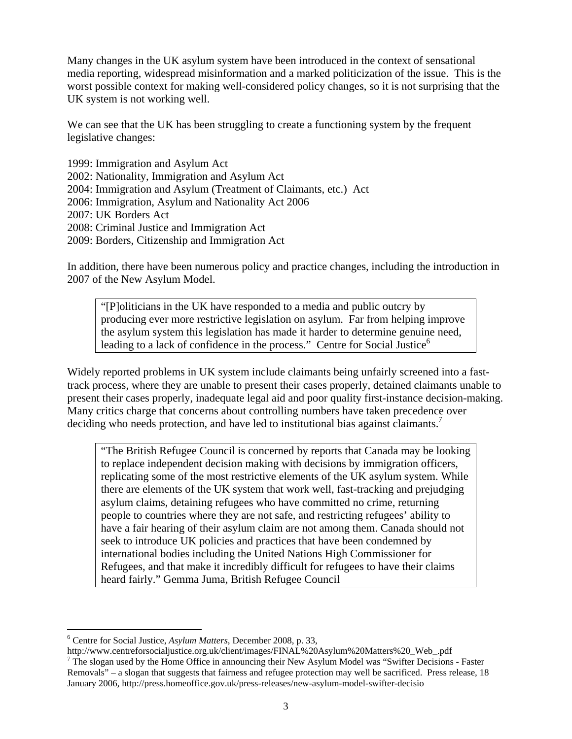Many changes in the UK asylum system have been introduced in the context of sensational media reporting, widespread misinformation and a marked politicization of the issue. This is the worst possible context for making well-considered policy changes, so it is not surprising that the UK system is not working well.

We can see that the UK has been struggling to create a functioning system by the frequent legislative changes:

1999: Immigration and Asylum Act 2002: Nationality, Immigration and Asylum Act 2004: Immigration and Asylum (Treatment of Claimants, etc.) Act 2006: Immigration, Asylum and Nationality Act 2006 2007: UK Borders Act 2008: Criminal Justice and Immigration Act 2009: Borders, Citizenship and Immigration Act

In addition, there have been numerous policy and practice changes, including the introduction in 2007 of the New Asylum Model.

"[P]oliticians in the UK have responded to a media and public outcry by producing ever more restrictive legislation on asylum. Far from helping improve the asylum system this legislation has made it harder to determine genuine need, leading to a lack of confidence in the process." Centre for Social Justice<sup>6</sup>

Widely reported problems in UK system include claimants being unfairly screened into a fasttrack process, where they are unable to present their cases properly, detained claimants unable to present their cases properly, inadequate legal aid and poor quality first-instance decision-making. Many critics charge that concerns about controlling numbers have taken precedence over deciding who needs protection, and have led to institutional bias against claimants.<sup>7</sup>

"The British Refugee Council is concerned by reports that Canada may be looking to replace independent decision making with decisions by immigration officers, replicating some of the most restrictive elements of the UK asylum system. While there are elements of the UK system that work well, fast-tracking and prejudging asylum claims, detaining refugees who have committed no crime, returning people to countries where they are not safe, and restricting refugees' ability to have a fair hearing of their asylum claim are not among them. Canada should not seek to introduce UK policies and practices that have been condemned by international bodies including the United Nations High Commissioner for Refugees, and that make it incredibly difficult for refugees to have their claims heard fairly." Gemma Juma, British Refugee Council

 $\overline{a}$ 

<sup>6</sup> Centre for Social Justice, *Asylum Matters*, December 2008, p. 33,

http://www.centreforsocialjustice.org.uk/client/images/FINAL%20Asylum%20Matters%20\_Web\_.pdf  $\frac{7}{7}$  The slogan used by the Home Office in announcing their New Asylum Model was "Swifter Decisions - Faster Removals" – a slogan that suggests that fairness and refugee protection may well be sacrificed. Press release, 18 January 2006, http://press.homeoffice.gov.uk/press-releases/new-asylum-model-swifter-decisio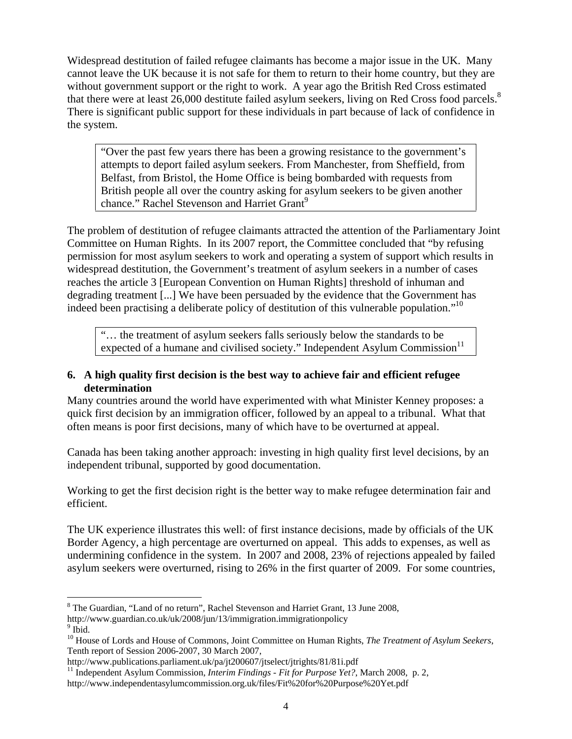Widespread destitution of failed refugee claimants has become a major issue in the UK. Many cannot leave the UK because it is not safe for them to return to their home country, but they are without government support or the right to work. A year ago the British Red Cross estimated that there were at least 26,000 destitute failed asylum seekers, living on Red Cross food parcels.<sup>8</sup> There is significant public support for these individuals in part because of lack of confidence in the system.

"Over the past few years there has been a growing resistance to the government's attempts to deport failed asylum seekers. From Manchester, from Sheffield, from Belfast, from Bristol, the Home Office is being bombarded with requests from British people all over the country asking for asylum seekers to be given another chance." Rachel Stevenson and Harriet Grant<sup>9</sup>

The problem of destitution of refugee claimants attracted the attention of the Parliamentary Joint Committee on Human Rights. In its 2007 report, the Committee concluded that "by refusing permission for most asylum seekers to work and operating a system of support which results in widespread destitution, the Government's treatment of asylum seekers in a number of cases reaches the article 3 [European Convention on Human Rights] threshold of inhuman and degrading treatment [...] We have been persuaded by the evidence that the Government has indeed been practising a deliberate policy of destitution of this vulnerable population."<sup>10</sup>

"… the treatment of asylum seekers falls seriously below the standards to be expected of a humane and civilised society." Independent Asylum Commission $11$ 

# **6. A high quality first decision is the best way to achieve fair and efficient refugee determination**

Many countries around the world have experimented with what Minister Kenney proposes: a quick first decision by an immigration officer, followed by an appeal to a tribunal. What that often means is poor first decisions, many of which have to be overturned at appeal.

Canada has been taking another approach: investing in high quality first level decisions, by an independent tribunal, supported by good documentation.

Working to get the first decision right is the better way to make refugee determination fair and efficient.

The UK experience illustrates this well: of first instance decisions, made by officials of the UK Border Agency, a high percentage are overturned on appeal. This adds to expenses, as well as undermining confidence in the system. In 2007 and 2008, 23% of rejections appealed by failed asylum seekers were overturned, rising to 26% in the first quarter of 2009. For some countries,

<sup>1</sup> <sup>8</sup> The Guardian, "Land of no return", Rachel Stevenson and Harriet Grant, 13 June 2008,

http://www.guardian.co.uk/uk/2008/jun/13/immigration.immigrationpolicy

 $9$  Ibid.

<sup>10</sup> House of Lords and House of Commons, Joint Committee on Human Rights, *The Treatment of Asylum Seekers*, Tenth report of Session 2006-2007, 30 March 2007,<br>http://www.publications.parliament.uk/pa/jt200607/jtselect/jtrights/81/81i.pdf

<sup>&</sup>lt;sup>11</sup> Independent Asylum Commission, *Interim Findings - Fit for Purpose Yet?*, March 2008, p. 2, http://www.independentasylumcommission.org.uk/files/Fit%20for%20Purpose%20Yet.pdf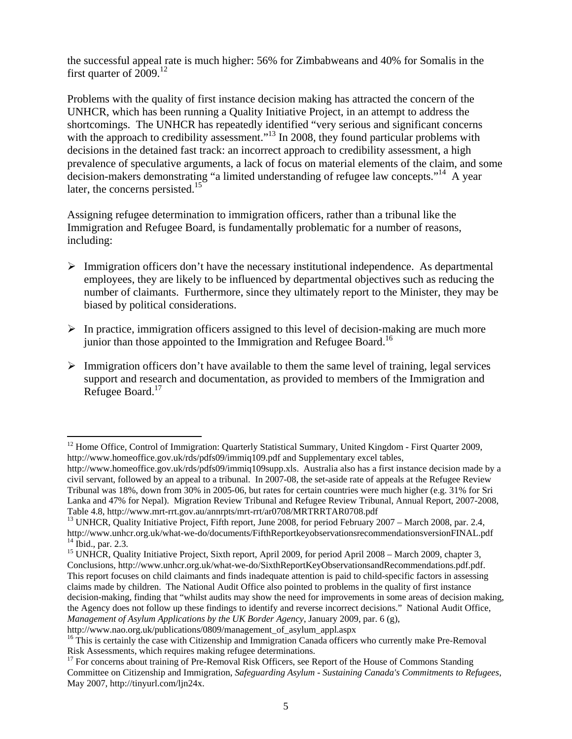the successful appeal rate is much higher: 56% for Zimbabweans and 40% for Somalis in the first quarter of  $2009$ <sup>12</sup>

Problems with the quality of first instance decision making has attracted the concern of the UNHCR, which has been running a Quality Initiative Project, in an attempt to address the shortcomings. The UNHCR has repeatedly identified "very serious and significant concerns with the approach to credibility assessment."<sup>13</sup> In 2008, they found particular problems with decisions in the detained fast track: an incorrect approach to credibility assessment, a high prevalence of speculative arguments, a lack of focus on material elements of the claim, and some decision-makers demonstrating "a limited understanding of refugee law concepts."<sup>14</sup> A year later, the concerns persisted.<sup>15</sup>

Assigning refugee determination to immigration officers, rather than a tribunal like the Immigration and Refugee Board, is fundamentally problematic for a number of reasons, including:

- $\triangleright$  Immigration officers don't have the necessary institutional independence. As departmental employees, they are likely to be influenced by departmental objectives such as reducing the number of claimants. Furthermore, since they ultimately report to the Minister, they may be biased by political considerations.
- $\triangleright$  In practice, immigration officers assigned to this level of decision-making are much more junior than those appointed to the Immigration and Refugee Board.<sup>16</sup>
- $\triangleright$  Immigration officers don't have available to them the same level of training, legal services support and research and documentation, as provided to members of the Immigration and Refugee Board.<sup>17</sup>

 $\overline{a}$ <sup>12</sup> Home Office, Control of Immigration: Quarterly Statistical Summary, United Kingdom - First Quarter 2009, http://www.homeoffice.gov.uk/rds/pdfs09/immiq109.pdf and Supplementary excel tables,

http://www.homeoffice.gov.uk/rds/pdfs09/immiq109supp.xls. Australia also has a first instance decision made by a civil servant, followed by an appeal to a tribunal. In 2007-08, the set-aside rate of appeals at the Refugee Review Tribunal was 18%, down from 30% in 2005-06, but rates for certain countries were much higher (e.g. 31% for Sri Lanka and 47% for Nepal). Migration Review Tribunal and Refugee Review Tribunal, Annual Report, 2007-2008,

Table 4.8, http://www.mrt-rrt.gov.au/annrpts/mrt-rrt/ar0708/MRTRRTAR0708.pdf 13 UNHCR, Quality Initiative Project, Fifth report, June 2008, for period February 2007 – March 2008, par. 2.4, http://www.unhcr.org.uk/what-we-do/documents/FifthReportkeyobservationsrecommendationsversionFINAL.pdf 14 Ibid., par. 2.3.

<sup>&</sup>lt;sup>15</sup> UNHCR, Quality Initiative Project, Sixth report, April 2009, for period April 2008 – March 2009, chapter 3, Conclusions, http://www.unhcr.org.uk/what-we-do/SixthReportKeyObservationsandRecommendations.pdf.pdf. This report focuses on child claimants and finds inadequate attention is paid to child-specific factors in assessing claims made by children. The National Audit Office also pointed to problems in the quality of first instance decision-making, finding that "whilst audits may show the need for improvements in some areas of decision making, the Agency does not follow up these findings to identify and reverse incorrect decisions." National Audit Office, *Management of Asylum Applications by the UK Border Agency*, January 2009, par. 6 (g),

http://www.nao.org.uk/publications/0809/management\_of\_asylum\_appl.aspx<br><sup>16</sup> This is certainly the case with Citizenship and Immigration Canada officers who currently make Pre-Removal Risk Assessments, which requires making refugee determinations.

<sup>&</sup>lt;sup>17</sup> For concerns about training of Pre-Removal Risk Officers, see Report of the House of Commons Standing Committee on Citizenship and Immigration, *Safeguarding Asylum - Sustaining Canada's Commitments to Refugees*, May 2007, http://tinyurl.com/ljn24x.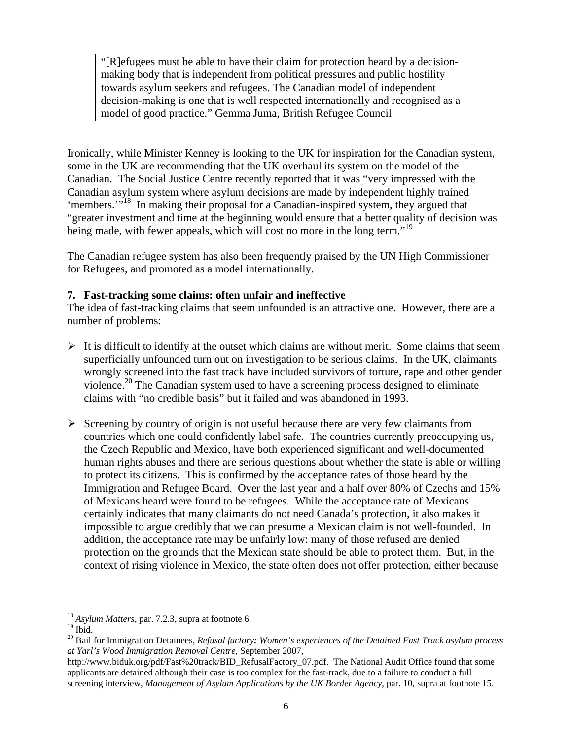"[R]efugees must be able to have their claim for protection heard by a decisionmaking body that is independent from political pressures and public hostility towards asylum seekers and refugees. The Canadian model of independent decision-making is one that is well respected internationally and recognised as a model of good practice." Gemma Juma, British Refugee Council

Ironically, while Minister Kenney is looking to the UK for inspiration for the Canadian system, some in the UK are recommending that the UK overhaul its system on the model of the Canadian. The Social Justice Centre recently reported that it was "very impressed with the Canadian asylum system where asylum decisions are made by independent highly trained 'members."<sup>18</sup> In making their proposal for a Canadian-inspired system, they argued that "greater investment and time at the beginning would ensure that a better quality of decision was being made, with fewer appeals, which will cost no more in the long term."<sup>19</sup>

The Canadian refugee system has also been frequently praised by the UN High Commissioner for Refugees, and promoted as a model internationally.

# **7. Fast-tracking some claims: often unfair and ineffective**

The idea of fast-tracking claims that seem unfounded is an attractive one. However, there are a number of problems:

- $\triangleright$  It is difficult to identify at the outset which claims are without merit. Some claims that seem superficially unfounded turn out on investigation to be serious claims. In the UK, claimants wrongly screened into the fast track have included survivors of torture, rape and other gender violence.<sup>20</sup> The Canadian system used to have a screening process designed to eliminate claims with "no credible basis" but it failed and was abandoned in 1993.
- $\triangleright$  Screening by country of origin is not useful because there are very few claimants from countries which one could confidently label safe. The countries currently preoccupying us, the Czech Republic and Mexico, have both experienced significant and well-documented human rights abuses and there are serious questions about whether the state is able or willing to protect its citizens. This is confirmed by the acceptance rates of those heard by the Immigration and Refugee Board. Over the last year and a half over 80% of Czechs and 15% of Mexicans heard were found to be refugees. While the acceptance rate of Mexicans certainly indicates that many claimants do not need Canada's protection, it also makes it impossible to argue credibly that we can presume a Mexican claim is not well-founded. In addition, the acceptance rate may be unfairly low: many of those refused are denied protection on the grounds that the Mexican state should be able to protect them. But, in the context of rising violence in Mexico, the state often does not offer protection, either because

 $\overline{a}$ 

<sup>18</sup> *Asylum Matters*, par. 7.2.3, supra at footnote 6.

 $^{19}$  Ibid.

<sup>20</sup> Bail for Immigration Detainees, *Refusal factory: Women's experiences of the Detained Fast Track asylum process at Yarl's Wood Immigration Removal Centre*, September 2007,

http://www.biduk.org/pdf/Fast%20track/BID\_RefusalFactory\_07.pdf. The National Audit Office found that some applicants are detained although their case is too complex for the fast-track, due to a failure to conduct a full screening interview, *Management of Asylum Applications by the UK Border Agency*, par. 10, supra at footnote 15.